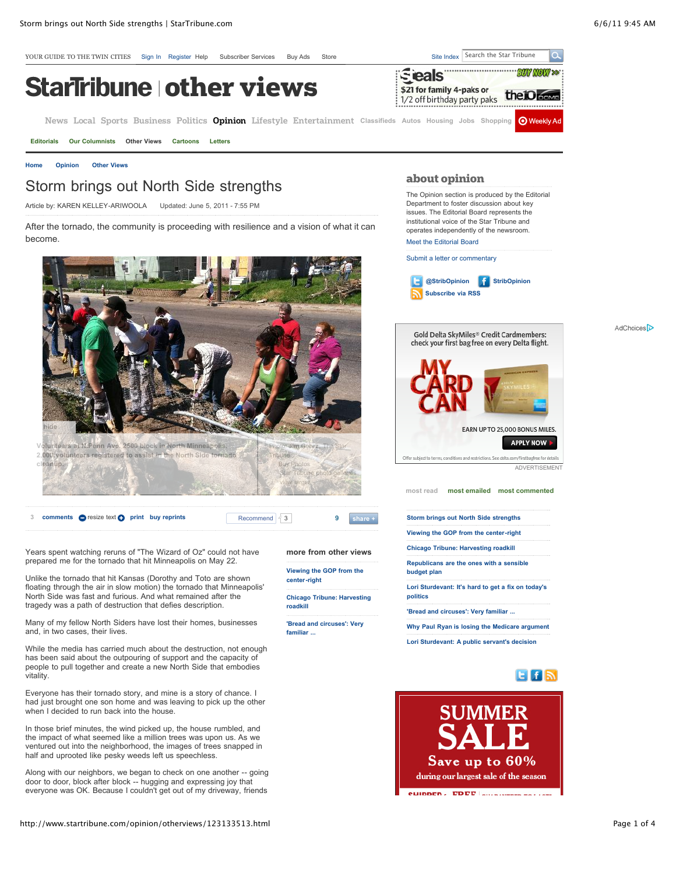

[Meet the Editorial Board](http://www.startribune.com/opinion/columnists/)

[Submit a letter or commentary](http://www.startribune.com/opinion/115289839.html)



Gold Delta SkyMiles<sup>®</sup> Credit Cardmembers: check your first bag free on every Delta flight. AdChoices<sup>D</sup>



Years spent watching reruns of "The Wizard of Oz" could not have prepared me for the tornado that hit Minneapolis on May 22.

Unlike the tornado that hit Kansas (Dorothy and Toto are shown floating through the air in slow motion) the tornado that Minneapolis' North Side was fast and furious. And what remained after the tragedy was a path of destruction that defies description.

Many of my fellow North Siders have lost their homes, businesses and, in two cases, their lives.

While the media has carried much about the destruction, not enough has been said about the outpouring of support and the capacity of people to pull together and create a new North Side that embodies vitality.

Everyone has their tornado story, and mine is a story of chance. I had just brought one son home and was leaving to pick up the other when I decided to run back into the house.

In those brief minutes, the wind picked up, the house rumbled, and the impact of what seemed like a million trees was upon us. As we ventured out into the neighborhood, the images of trees snapped in half and uprooted like pesky weeds left us speechless.

Along with our neighbors, we began to check on one another -- going door to door, block after block -- hugging and expressing joy that everyone was OK. Because I couldn't get out of my driveway, friends

**more from other views [Viewing the GOP from the](http://www.startribune.com/opinion/otherviews/123133508.html)**

**[Chicago Tribune: Harvesting](http://www.startribune.com/opinion/otherviews/123137158.html)**

**['Bread and circuses': Very](http://www.startribune.com/opinion/otherviews/123133473.html)**

**center-right**

**roadkill**

**familiar ...**

EARN UP TO 25,000 BONUS MILES.

**APPLY NOW** 

ditions and restrictions. See delta.com/firstbagfree for details ADVERTISEMENT

**[most read](http://www.startribune.com/opinion/otherviews/123133513.html#) [most emailed](http://www.startribune.com/opinion/otherviews/123133513.html#) [most commented](http://www.startribune.com/opinion/otherviews/123133513.html#)**

**[Storm brings out North Side strengths](http://www.startribune.com/opinion/otherviews/123133513.html)**

**[Viewing the GOP from the center-right](http://www.startribune.com/opinion/otherviews/123133508.html)**

**[Chicago Tribune: Harvesting roadkill](http://www.startribune.com/opinion/otherviews/123137158.html)**

**[Republicans are the ones with a sensible](http://www.startribune.com/opinion/otherviews/123137143.html) budget plan**

**[Lori Sturdevant: It's hard to get a fix on today's](http://www.startribune.com/opinion/otherviews/123137033.html) politics**

**['Bread and circuses': Very familiar ...](http://www.startribune.com/opinion/otherviews/123133473.html)**

**[Why Paul Ryan is losing the Medicare argument](http://www.startribune.com/opinion/otherviews/123137163.html)**

**[Lori Sturdevant: A public servant's decision](http://www.startribune.com/opinion/otherviews/123121493.html)**



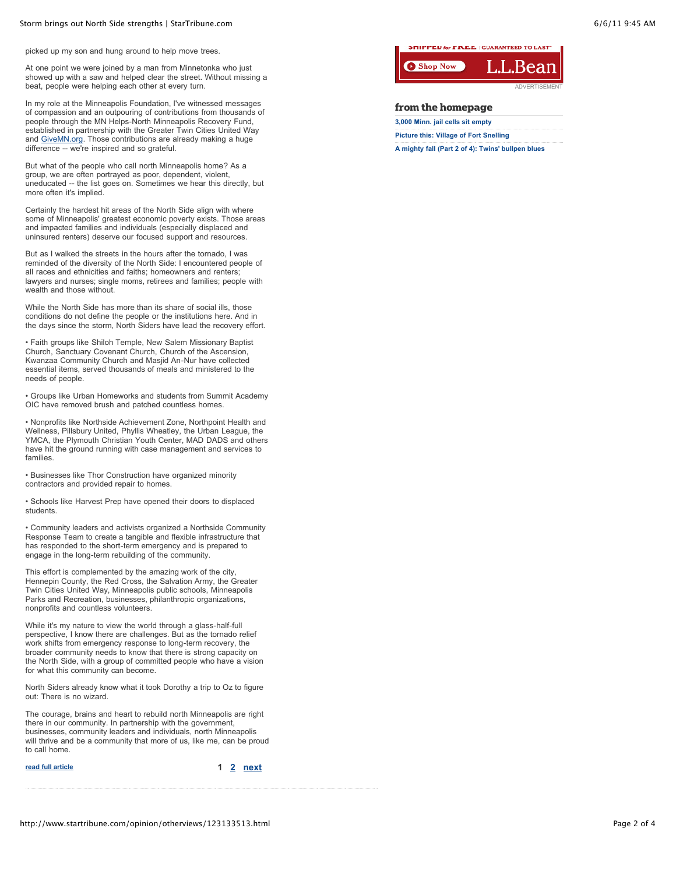picked up my son and hung around to help move trees.

At one point we were joined by a man from Minnetonka who just showed up with a saw and helped clear the street. Without missing a beat, people were helping each other at every turn.

In my role at the Minneapolis Foundation, I've witnessed messages of compassion and an outpouring of contributions from thousands of people through the MN Helps-North Minneapolis Recovery Fund, established in partnership with the Greater Twin Cities United Way and [GiveMN.org](http://GiveMN.org/). Those contributions are already making a huge difference -- we're inspired and so grateful.

But what of the people who call north Minneapolis home? As a group, we are often portrayed as poor, dependent, violent, uneducated -- the list goes on. Sometimes we hear this directly, but more often it's implied.

Certainly the hardest hit areas of the North Side align with where some of Minneapolis' greatest economic poverty exists. Those areas and impacted families and individuals (especially displaced and uninsured renters) deserve our focused support and resources.

But as I walked the streets in the hours after the tornado, I was reminded of the diversity of the North Side: I encountered people of all races and ethnicities and faiths; homeowners and renters; lawyers and nurses; single moms, retirees and families; people with wealth and those without.

While the North Side has more than its share of social ills, those conditions do not define the people or the institutions here. And in the days since the storm, North Siders have lead the recovery effort.

• Faith groups like Shiloh Temple, New Salem Missionary Baptist Church, Sanctuary Covenant Church, Church of the Ascension, Kwanzaa Community Church and Masjid An-Nur have collected essential items, served thousands of meals and ministered to the needs of people.

• Groups like Urban Homeworks and students from Summit Academy OIC have removed brush and patched countless homes.

• Nonprofits like Northside Achievement Zone, Northpoint Health and Wellness, Pillsbury United, Phyllis Wheatley, the Urban League, the YMCA, the Plymouth Christian Youth Center, MAD DADS and others have hit the ground running with case management and services to families.

• Businesses like Thor Construction have organized minority contractors and provided repair to homes.

• Schools like Harvest Prep have opened their doors to displaced students.

• Community leaders and activists organized a Northside Community Response Team to create a tangible and flexible infrastructure that has responded to the short-term emergency and is prepared to engage in the long-term rebuilding of the community.

This effort is complemented by the amazing work of the city, Hennepin County, the Red Cross, the Salvation Army, the Greater Twin Cities United Way, Minneapolis public schools, Minneapolis Parks and Recreation, businesses, philanthropic organizations, nonprofits and countless volunteers.

While it's my nature to view the world through a glass-half-full perspective, I know there are challenges. But as the tornado relief work shifts from emergency response to long-term recovery, the broader community needs to know that there is strong capacity on the North Side, with a group of committed people who have a vision for what this community can become.

North Siders already know what it took Dorothy a trip to Oz to figure out: There is no wizard.

The courage, brains and heart to rebuild north Minneapolis are right there in our community. In partnership with the government, businesses, community leaders and individuals, north Minneapolis will thrive and be a community that more of us, like me, can be proud to call home.

| read full article |  | 1 2 next |  |
|-------------------|--|----------|--|
|                   |  |          |  |

**JITTLE AN TOT A AND LO** LOC



## **from the homepage**

| 3,000 Minn. jail cells sit empty                  |
|---------------------------------------------------|
| <b>Picture this: Village of Fort Snelling</b>     |
| A mighty fall (Part 2 of 4): Twins' bullpen blues |

http://www.startribune.com/opinion/otherviews/123133513.html Page 2 of 4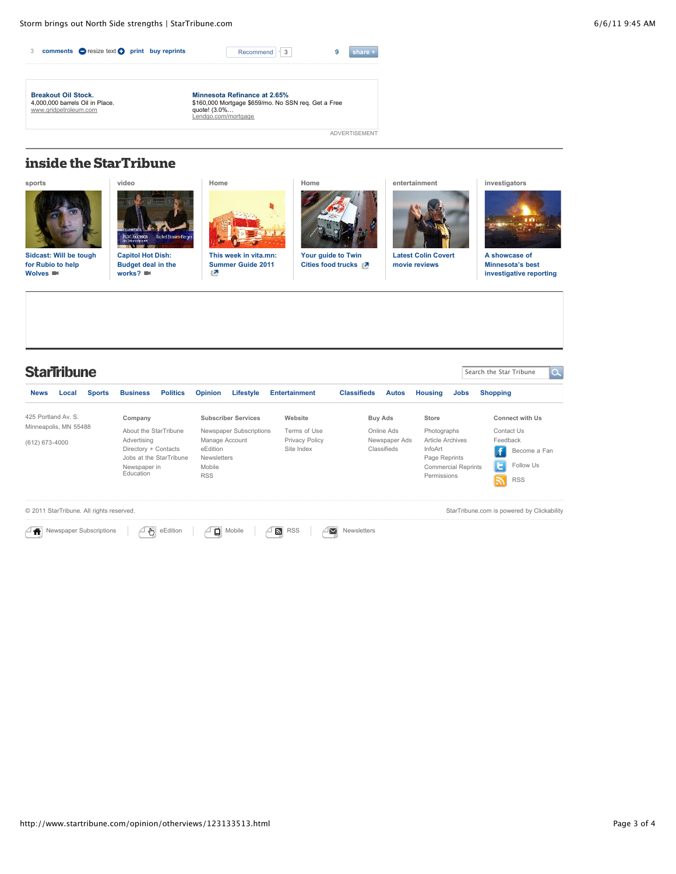

ADVERTISEMENT

## **inside the StarTribune**

**[sports](http://www.startribune.com/sports)**



**[Sidcast: Will be tough](http://www.startribune.com/sports/wolves/123098573.html) for Rubio to help Wolves** 



**[video](http://www.startribune.com/video)**

**Capitol Hot Dish: [Budget deal in the](http://www.startribune.com/video/123061933.html) works?** 



**[Home](http://www.startribune.com/:)**

**[This week in vita.mn:](http://www.vita.mn/story.php?id=122962473) Summer Guide 2011**



**[Your guide to Twin](http://www.vita.mn/story.php?id=122979193) Cities food trucks** 



**[entertainment](http://www.startribune.com/entertainment)**

**[Latest Colin Covert](http://www.startribune.com/entertainment/movies/) movie reviews**





**A showcase of Minnesota's best [investigative reporting](http://www.startribune.com/investigators)**

| <b>StarTribune</b>                           |       |                         |                           |                         |                              |           |                                            |                                           |               | 10,<br>Search the Star Tribune |                         |                   |  |
|----------------------------------------------|-------|-------------------------|---------------------------|-------------------------|------------------------------|-----------|--------------------------------------------|-------------------------------------------|---------------|--------------------------------|-------------------------|-------------------|--|
| <b>News</b>                                  | Local | <b>Sports</b>           | <b>Business</b>           | <b>Politics</b>         | <b>Opinion</b>               | Lifestyle | <b>Entertainment</b>                       | <b>Classifieds</b>                        | <b>Autos</b>  | <b>Housing</b>                 | <b>Jobs</b>             | <b>Shopping</b>   |  |
| 425 Portland Av. S.<br>Minneapolis, MN 55488 |       | Company                 |                           |                         | <b>Subscriber Services</b>   | Website   | Buy Ads                                    |                                           | Store         |                                | <b>Connect with Us</b>  |                   |  |
|                                              |       |                         | About the StarTribune     |                         | Newspaper Subscriptions      |           | Terms of Use                               | Online Ads                                |               | Photographs                    |                         | Contact Us        |  |
| (612) 673-4000                               |       |                         | Advertising               |                         | Manage Account               |           | <b>Privacy Policy</b>                      |                                           | Newspaper Ads |                                | <b>Article Archives</b> | Feedback          |  |
|                                              |       |                         | Directory + Contacts      |                         | eEdition                     |           | Site Index                                 |                                           | Classifieds   | InfoArt                        |                         | ÷<br>Become a Fan |  |
|                                              |       |                         |                           | Jobs at the StarTribune | <b>Newsletters</b><br>Mobile |           |                                            |                                           |               |                                | Page Reprints           | Follow Us         |  |
|                                              |       |                         | Newspaper in<br>Education |                         | <b>RSS</b>                   |           |                                            | <b>Commercial Reprints</b><br>Permissions |               |                                |                         |                   |  |
|                                              |       |                         |                           |                         |                              |           |                                            |                                           |               |                                |                         | <b>RSS</b><br>⊼   |  |
| © 2011 StarTribune. All rights reserved.     |       |                         |                           |                         |                              |           | StarTribune.com is powered by Clickability |                                           |               |                                |                         |                   |  |
|                                              |       | Newspaper Subscriptions | ł۳                        | eEdition                | ۵                            | Mobile    | $\mathbb{Z}$<br><b>RSS</b>                 | ⊠<br><b>Newsletters</b>                   |               |                                |                         |                   |  |